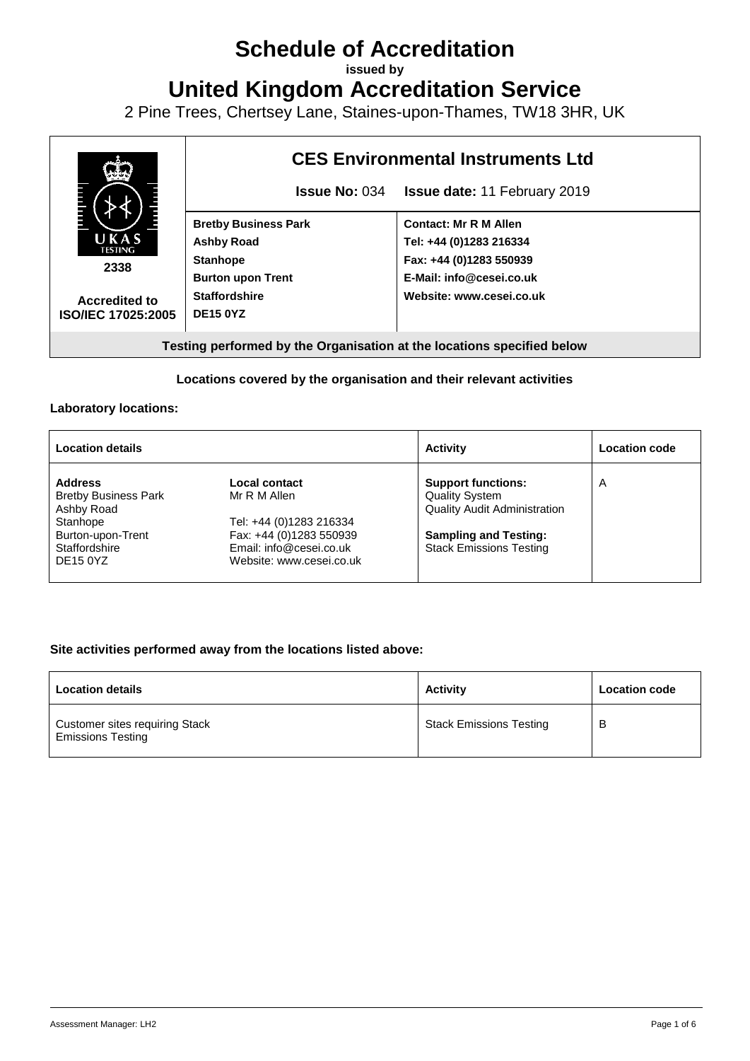# **Schedule of Accreditation**

**issued by**

**United Kingdom Accreditation Service**

2 Pine Trees, Chertsey Lane, Staines-upon-Thames, TW18 3HR, UK



#### **Locations covered by the organisation and their relevant activities**

#### **Laboratory locations:**

| <b>Location details</b>                                                                                                          |                                                                                                                                            | <b>Activity</b>                                                                                                                                             | <b>Location code</b> |
|----------------------------------------------------------------------------------------------------------------------------------|--------------------------------------------------------------------------------------------------------------------------------------------|-------------------------------------------------------------------------------------------------------------------------------------------------------------|----------------------|
| <b>Address</b><br><b>Bretby Business Park</b><br>Ashby Road<br>Stanhope<br>Burton-upon-Trent<br>Staffordshire<br><b>DE15 0YZ</b> | Local contact<br>Mr R M Allen<br>Tel: +44 (0)1283 216334<br>Fax: +44 (0)1283 550939<br>Email: info@cesei.co.uk<br>Website: www.cesei.co.uk | <b>Support functions:</b><br><b>Quality System</b><br><b>Quality Audit Administration</b><br><b>Sampling and Testing:</b><br><b>Stack Emissions Testing</b> | Α                    |

#### **Site activities performed away from the locations listed above:**

| <b>Location details</b>                                           | <b>Activity</b>                | <b>Location code</b> |
|-------------------------------------------------------------------|--------------------------------|----------------------|
| <b>Customer sites requiring Stack</b><br><b>Emissions Testing</b> | <b>Stack Emissions Testing</b> | В                    |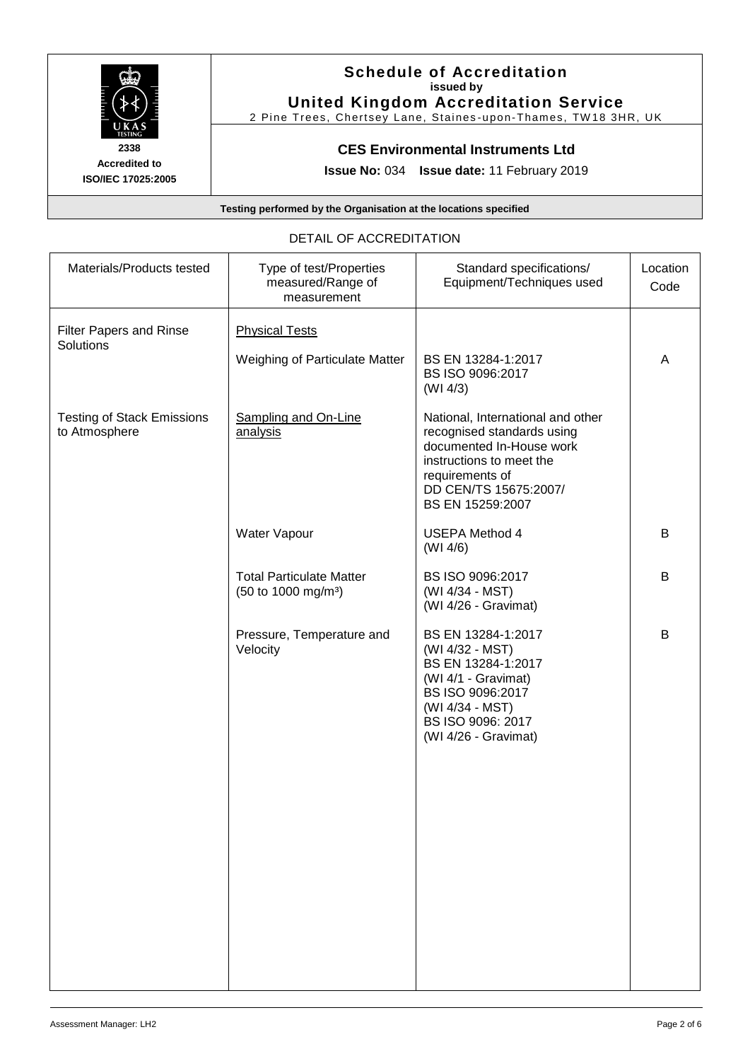

## **Schedule of Accreditation issued by United Kingdom Accreditation Service**

2 Pine Trees, Chertsey Lane, Staines-upon-Thames, TW18 3HR, UK

## **CES Environmental Instruments Ltd**

**Issue No:** 034 **Issue date:** 11 February 2019

**Testing performed by the Organisation at the locations specified**

#### DETAIL OF ACCREDITATION

| Materials/Products tested                          | Type of test/Properties<br>measured/Range of<br>measurement        | Standard specifications/<br>Equipment/Techniques used                                                                                                                                               | Location<br>Code |
|----------------------------------------------------|--------------------------------------------------------------------|-----------------------------------------------------------------------------------------------------------------------------------------------------------------------------------------------------|------------------|
| Filter Papers and Rinse<br>Solutions               | <b>Physical Tests</b><br>Weighing of Particulate Matter            | BS EN 13284-1:2017<br>BS ISO 9096:2017                                                                                                                                                              | A                |
| <b>Testing of Stack Emissions</b><br>to Atmosphere | Sampling and On-Line<br>analysis                                   | (WI 4/3)<br>National, International and other<br>recognised standards using<br>documented In-House work<br>instructions to meet the<br>requirements of<br>DD CEN/TS 15675:2007/<br>BS EN 15259:2007 |                  |
|                                                    | Water Vapour                                                       | <b>USEPA Method 4</b><br>(WI 4/6)                                                                                                                                                                   | В                |
|                                                    | <b>Total Particulate Matter</b><br>(50 to 1000 mg/m <sup>3</sup> ) | BS ISO 9096:2017<br>(WI 4/34 - MST)<br>(WI 4/26 - Gravimat)                                                                                                                                         | B                |
|                                                    | Pressure, Temperature and<br>Velocity                              | BS EN 13284-1:2017<br>(WI 4/32 - MST)<br>BS EN 13284-1:2017<br>(WI 4/1 - Gravimat)<br>BS ISO 9096:2017<br>(WI 4/34 - MST)<br>BS ISO 9096: 2017<br>(WI 4/26 - Gravimat)                              | B                |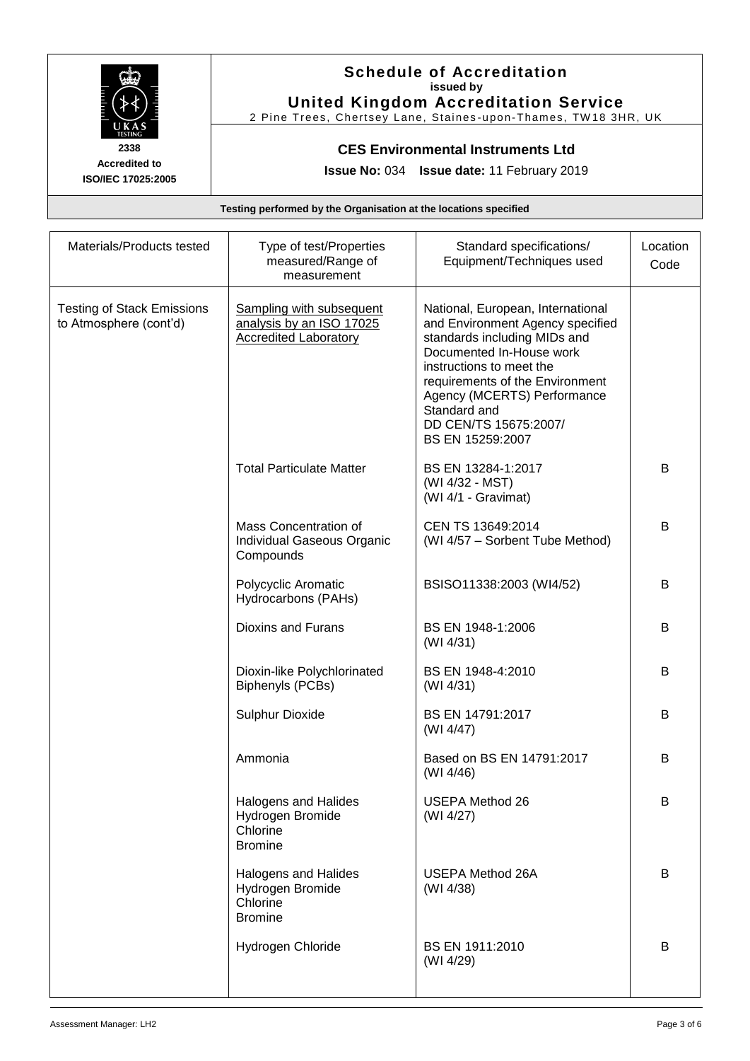

# **Schedule of Accreditation issued by United Kingdom Accreditation Service**

2 Pine Trees, Chertsey Lane, Staines-upon-Thames, TW18 3HR, UK

# **CES Environmental Instruments Ltd**

**Issue No:** 034 **Issue date:** 11 February 2019

**Testing performed by the Organisation at the locations specified**

| Materials/Products tested                                   | Type of test/Properties<br>measured/Range of<br>measurement                          | Standard specifications/<br>Equipment/Techniques used                                                                                                                                                                                                                                        | Location<br>Code |
|-------------------------------------------------------------|--------------------------------------------------------------------------------------|----------------------------------------------------------------------------------------------------------------------------------------------------------------------------------------------------------------------------------------------------------------------------------------------|------------------|
| <b>Testing of Stack Emissions</b><br>to Atmosphere (cont'd) | Sampling with subsequent<br>analysis by an ISO 17025<br><b>Accredited Laboratory</b> | National, European, International<br>and Environment Agency specified<br>standards including MIDs and<br>Documented In-House work<br>instructions to meet the<br>requirements of the Environment<br>Agency (MCERTS) Performance<br>Standard and<br>DD CEN/TS 15675:2007/<br>BS EN 15259:2007 |                  |
|                                                             | <b>Total Particulate Matter</b>                                                      | BS EN 13284-1:2017<br>(WI 4/32 - MST)<br>(WI 4/1 - Gravimat)                                                                                                                                                                                                                                 | B                |
|                                                             | Mass Concentration of<br>Individual Gaseous Organic<br>Compounds                     | CEN TS 13649:2014<br>(WI 4/57 - Sorbent Tube Method)                                                                                                                                                                                                                                         | B                |
|                                                             | Polycyclic Aromatic<br>Hydrocarbons (PAHs)                                           | BSISO11338:2003 (WI4/52)                                                                                                                                                                                                                                                                     | B                |
|                                                             | <b>Dioxins and Furans</b>                                                            | BS EN 1948-1:2006<br>(WI 4/31)                                                                                                                                                                                                                                                               | B                |
|                                                             | Dioxin-like Polychlorinated<br>Biphenyls (PCBs)                                      | BS EN 1948-4:2010<br>(WI 4/31)                                                                                                                                                                                                                                                               | B                |
|                                                             | Sulphur Dioxide                                                                      | BS EN 14791:2017<br>(WI 4/47)                                                                                                                                                                                                                                                                | B                |
|                                                             | Ammonia                                                                              | Based on BS EN 14791:2017<br>(WI 4/46)                                                                                                                                                                                                                                                       | B                |
|                                                             | <b>Halogens and Halides</b><br>Hydrogen Bromide<br>Chlorine<br><b>Bromine</b>        | <b>USEPA Method 26</b><br>(WI 4/27)                                                                                                                                                                                                                                                          | B                |
|                                                             | Halogens and Halides<br>Hydrogen Bromide<br>Chlorine<br><b>Bromine</b>               | <b>USEPA Method 26A</b><br>(WI 4/38)                                                                                                                                                                                                                                                         | B                |
|                                                             | Hydrogen Chloride                                                                    | BS EN 1911:2010<br>(WI 4/29)                                                                                                                                                                                                                                                                 | B                |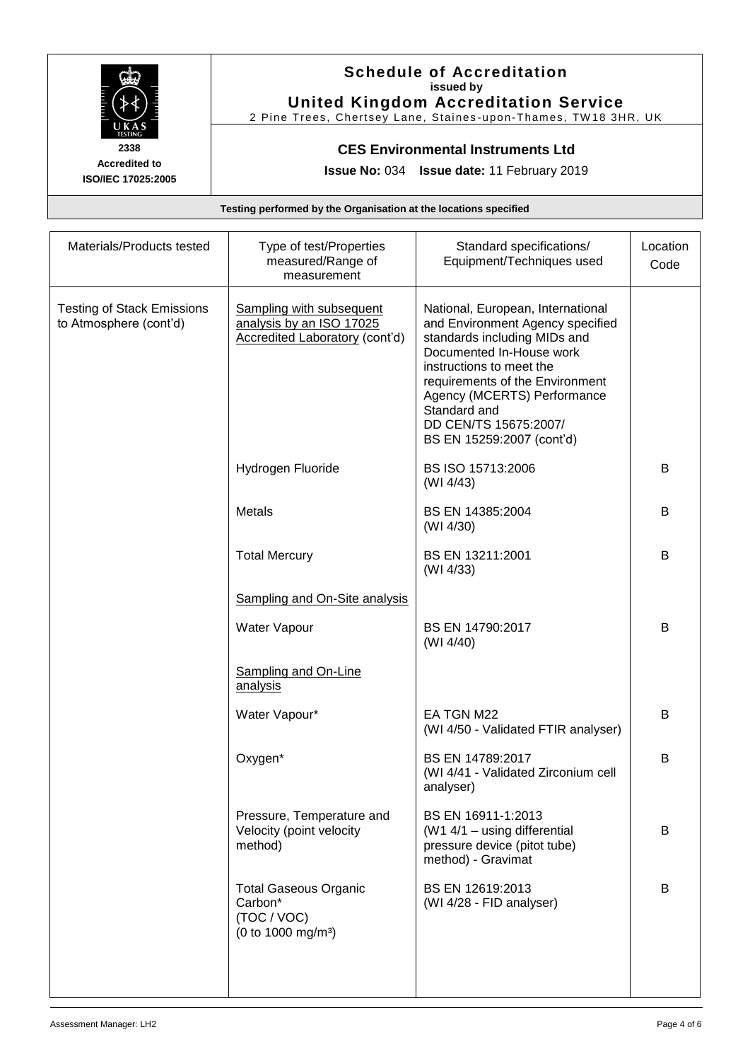

# **Schedule of Accreditation issued by United Kingdom Accreditation Service**

2 Pine Trees, Chertsey Lane, Staines-upon-Thames, TW18 3HR, UK

## **CES Environmental Instruments Ltd**

**Issue No:** 034 **Issue date:** 11 February 2019

**Testing performed by the Organisation at the locations specified**

| Materials/Products tested                                   | Type of test/Properties<br>measured/Range of<br>measurement                                   | Standard specifications/<br>Equipment/Techniques used                                                                                                                                                                                                                                                 | Location<br>Code |
|-------------------------------------------------------------|-----------------------------------------------------------------------------------------------|-------------------------------------------------------------------------------------------------------------------------------------------------------------------------------------------------------------------------------------------------------------------------------------------------------|------------------|
| <b>Testing of Stack Emissions</b><br>to Atmosphere (cont'd) | Sampling with subsequent<br>analysis by an ISO 17025<br><b>Accredited Laboratory (cont'd)</b> | National, European, International<br>and Environment Agency specified<br>standards including MIDs and<br>Documented In-House work<br>instructions to meet the<br>requirements of the Environment<br>Agency (MCERTS) Performance<br>Standard and<br>DD CEN/TS 15675:2007/<br>BS EN 15259:2007 (cont'd) |                  |
|                                                             | Hydrogen Fluoride                                                                             | BS ISO 15713:2006<br>(WI 4/43)                                                                                                                                                                                                                                                                        | B                |
|                                                             | <b>Metals</b>                                                                                 | BS EN 14385:2004<br>(WI 4/30)                                                                                                                                                                                                                                                                         | B                |
|                                                             | <b>Total Mercury</b>                                                                          | BS EN 13211:2001<br>(WI 4/33)                                                                                                                                                                                                                                                                         | B                |
|                                                             | Sampling and On-Site analysis                                                                 |                                                                                                                                                                                                                                                                                                       |                  |
|                                                             | Water Vapour                                                                                  | BS EN 14790:2017<br>(WI 4/40)                                                                                                                                                                                                                                                                         | B                |
|                                                             | <b>Sampling and On-Line</b><br>analysis                                                       |                                                                                                                                                                                                                                                                                                       |                  |
|                                                             | Water Vapour*                                                                                 | EA TGN M22<br>(WI 4/50 - Validated FTIR analyser)                                                                                                                                                                                                                                                     | B                |
|                                                             | Oxygen*                                                                                       | BS EN 14789:2017<br>(WI 4/41 - Validated Zirconium cell<br>analyser)                                                                                                                                                                                                                                  | B                |
|                                                             | Pressure, Temperature and<br>Velocity (point velocity<br>method)                              | BS EN 16911-1:2013<br>(W1 4/1 - using differential<br>pressure device (pitot tube)<br>method) - Gravimat                                                                                                                                                                                              | B                |
|                                                             | <b>Total Gaseous Organic</b><br>Carbon*<br>(TOC / VOC)<br>(0 to 1000 mg/m <sup>3</sup> )      | BS EN 12619:2013<br>(WI 4/28 - FID analyser)                                                                                                                                                                                                                                                          | B                |
|                                                             |                                                                                               |                                                                                                                                                                                                                                                                                                       |                  |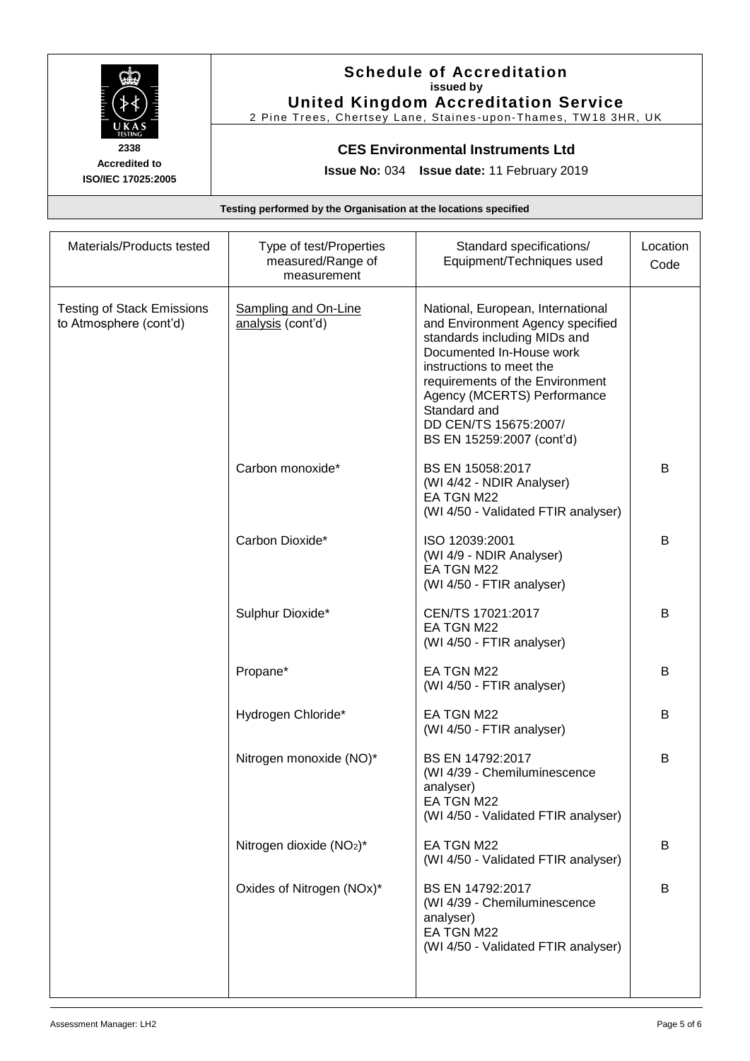

## **Schedule of Accreditation issued by United Kingdom Accreditation Service**

2 Pine Trees, Chertsey Lane, Staines-upon-Thames, TW18 3HR, UK

## **CES Environmental Instruments Ltd**

**Issue No:** 034 **Issue date:** 11 February 2019

**Testing performed by the Organisation at the locations specified**

| Materials/Products tested                                   | Type of test/Properties<br>measured/Range of<br>measurement | Standard specifications/<br>Equipment/Techniques used                                                                                                                                                                                                                                                 | Location<br>Code |
|-------------------------------------------------------------|-------------------------------------------------------------|-------------------------------------------------------------------------------------------------------------------------------------------------------------------------------------------------------------------------------------------------------------------------------------------------------|------------------|
| <b>Testing of Stack Emissions</b><br>to Atmosphere (cont'd) | <b>Sampling and On-Line</b><br>analysis (cont'd)            | National, European, International<br>and Environment Agency specified<br>standards including MIDs and<br>Documented In-House work<br>instructions to meet the<br>requirements of the Environment<br>Agency (MCERTS) Performance<br>Standard and<br>DD CEN/TS 15675:2007/<br>BS EN 15259:2007 (cont'd) |                  |
|                                                             | Carbon monoxide*                                            | BS EN 15058:2017<br>(WI 4/42 - NDIR Analyser)<br>EA TGN M22<br>(WI 4/50 - Validated FTIR analyser)                                                                                                                                                                                                    | B                |
|                                                             | Carbon Dioxide*                                             | ISO 12039:2001<br>(WI 4/9 - NDIR Analyser)<br>EA TGN M22<br>(WI 4/50 - FTIR analyser)                                                                                                                                                                                                                 | B                |
|                                                             | Sulphur Dioxide*                                            | CEN/TS 17021:2017<br>EA TGN M22<br>(WI 4/50 - FTIR analyser)                                                                                                                                                                                                                                          | B                |
|                                                             | Propane*                                                    | EA TGN M22<br>(WI 4/50 - FTIR analyser)                                                                                                                                                                                                                                                               | B                |
|                                                             | Hydrogen Chloride*                                          | EA TGN M22<br>(WI 4/50 - FTIR analyser)                                                                                                                                                                                                                                                               | В                |
|                                                             | Nitrogen monoxide (NO)*                                     | BS EN 14792:2017<br>(WI 4/39 - Chemiluminescence<br>analyser)<br>EA TGN M22<br>(WI 4/50 - Validated FTIR analyser)                                                                                                                                                                                    | B                |
|                                                             | Nitrogen dioxide (NO <sub>2</sub> )*                        | EA TGN M22<br>(WI 4/50 - Validated FTIR analyser)                                                                                                                                                                                                                                                     | B                |
|                                                             | Oxides of Nitrogen (NOx)*                                   | BS EN 14792:2017<br>(WI 4/39 - Chemiluminescence<br>analyser)<br>EA TGN M22<br>(WI 4/50 - Validated FTIR analyser)                                                                                                                                                                                    | B                |